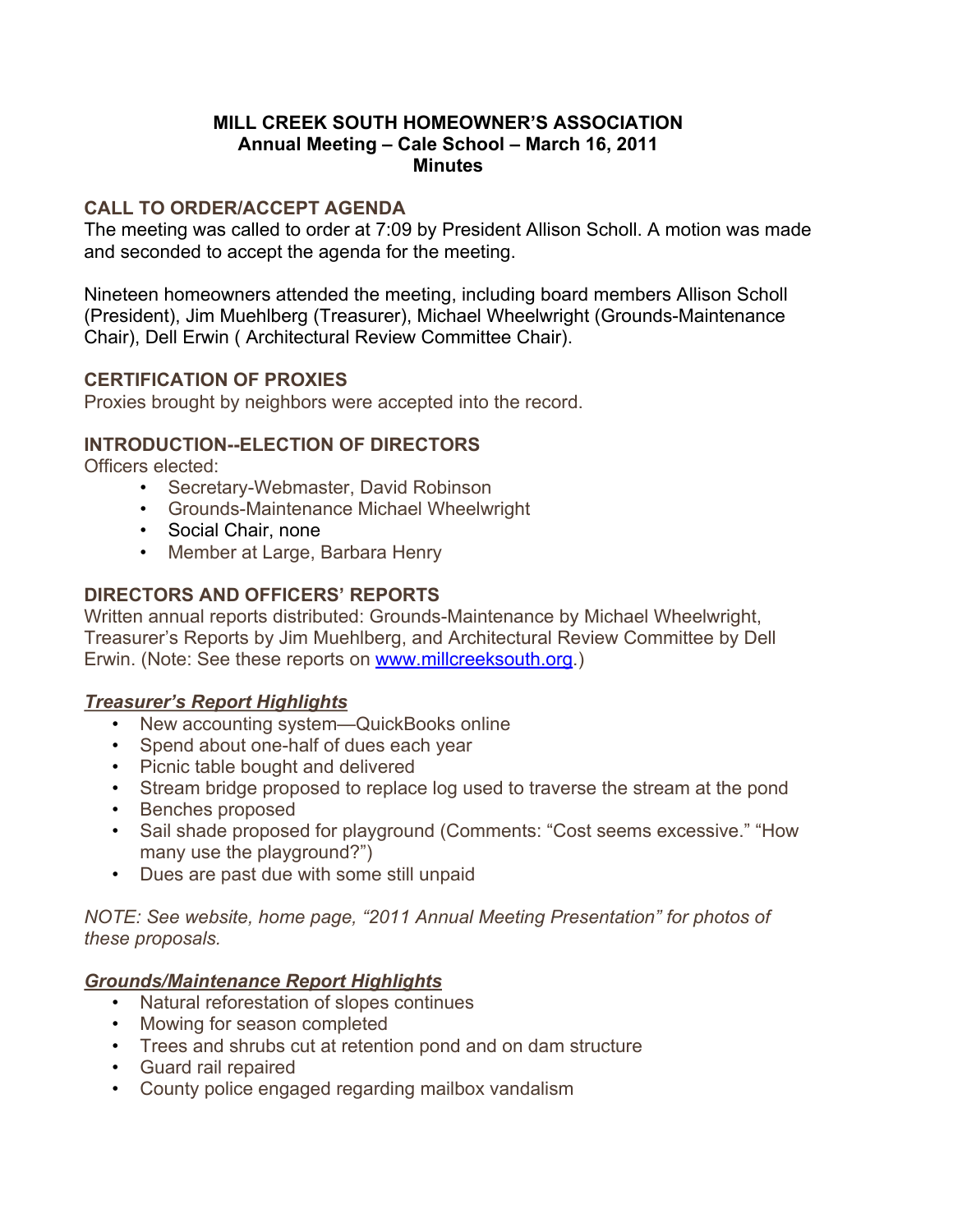### **MILL CREEK SOUTH HOMEOWNER'S ASSOCIATION Annual Meeting – Cale School – March 16, 2011 Minutes**

## **CALL TO ORDER/ACCEPT AGENDA**

The meeting was called to order at 7:09 by President Allison Scholl. A motion was made and seconded to accept the agenda for the meeting.

Nineteen homeowners attended the meeting, including board members Allison Scholl (President), Jim Muehlberg (Treasurer), Michael Wheelwright (Grounds-Maintenance Chair), Dell Erwin ( Architectural Review Committee Chair).

# **CERTIFICATION OF PROXIES**

Proxies brought by neighbors were accepted into the record.

### **INTRODUCTION--ELECTION OF DIRECTORS**

Officers elected:

- Secretary-Webmaster, David Robinson
- Grounds-Maintenance Michael Wheelwright
- Social Chair, none
- Member at Large, Barbara Henry

### **DIRECTORS AND OFFICERS' REPORTS**

Written annual reports distributed: Grounds-Maintenance by Michael Wheelwright, Treasurer's Reports by Jim Muehlberg, and Architectural Review Committee by Dell Erwin. (Note: See these reports on [www.millcreeksouth.org](http://www.millcreeksouth.org).)

### *Treasurer's Report Highlights*

- New accounting system—QuickBooks online
- Spend about one-half of dues each year
- Picnic table bought and delivered
- Stream bridge proposed to replace log used to traverse the stream at the pond
- Benches proposed
- Sail shade proposed for playground (Comments: "Cost seems excessive." "How many use the playground?")
- Dues are past due with some still unpaid

*NOTE: See website, home page, "2011 Annual Meeting Presentation" for photos of these proposals.*

# *Grounds/Maintenance Report Highlights*

- Natural reforestation of slopes continues
- Mowing for season completed
- Trees and shrubs cut at retention pond and on dam structure
- Guard rail repaired
- County police engaged regarding mailbox vandalism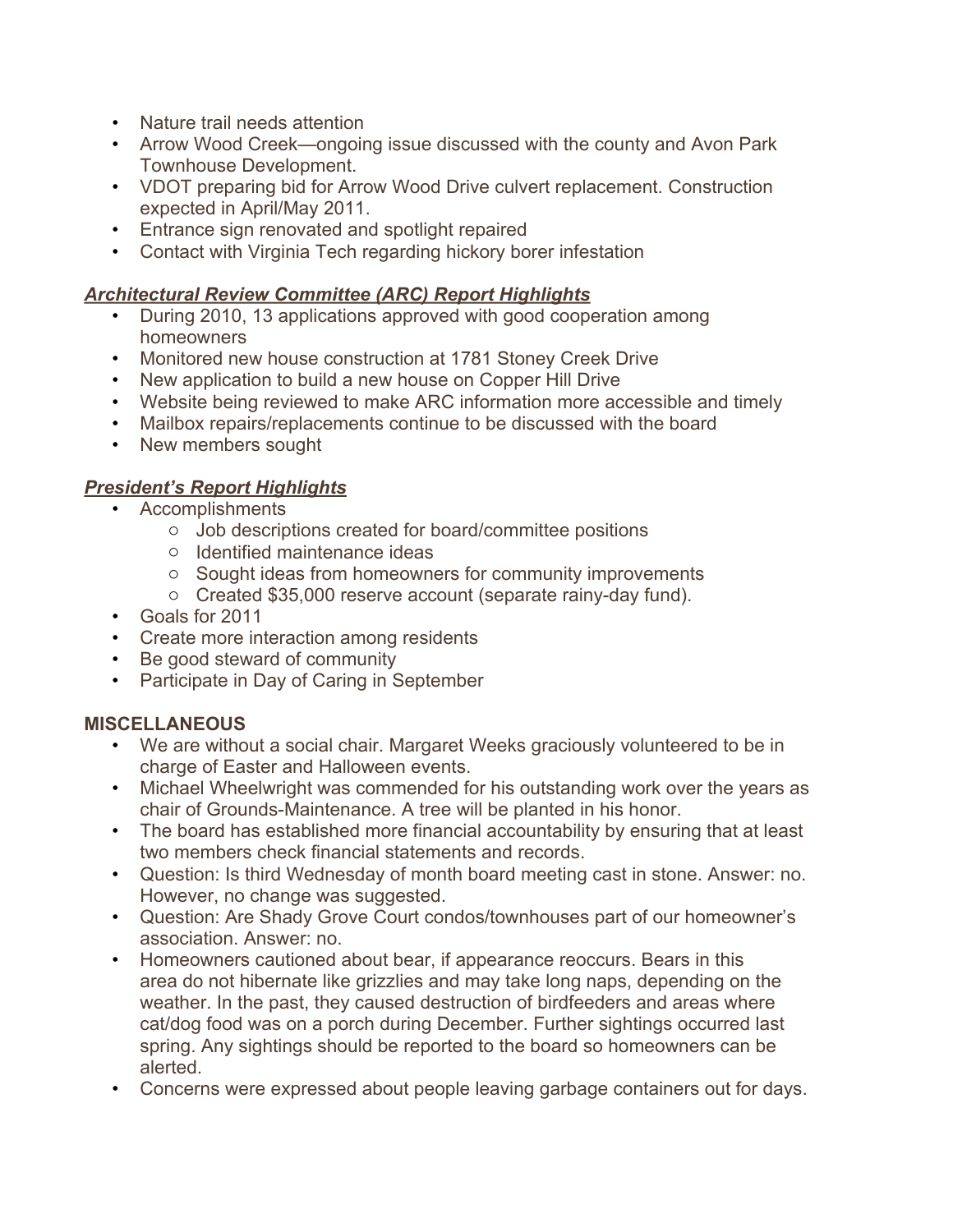- Nature trail needs attention
- Arrow Wood Creek—ongoing issue discussed with the county and Avon Park Townhouse Development.
- VDOT preparing bid for Arrow Wood Drive culvert replacement. Construction expected in April/May 2011.
- Entrance sign renovated and spotlight repaired
- Contact with Virginia Tech regarding hickory borer infestation

### *Architectural Review Committee (ARC) Report Highlights*

- During 2010, 13 applications approved with good cooperation among homeowners
- Monitored new house construction at 1781 Stoney Creek Drive
- New application to build a new house on Copper Hill Drive
- Website being reviewed to make ARC information more accessible and timely
- Mailbox repairs/replacements continue to be discussed with the board
- New members sought

### *President's Report Highlights*

- Accomplishments
	- o Job descriptions created for board/committee positions
	- o Identified maintenance ideas
	- o Sought ideas from homeowners for community improvements
	- o Created \$35,000 reserve account (separate rainy-day fund).
- Goals for 2011
- Create more interaction among residents
- Be good steward of community
- Participate in Day of Caring in September

### **MISCELLANEOUS**

- We are without a social chair. Margaret Weeks graciously volunteered to be in charge of Easter and Halloween events.
- Michael Wheelwright was commended for his outstanding work over the years as chair of Grounds-Maintenance. A tree will be planted in his honor.
- The board has established more financial accountability by ensuring that at least two members check financial statements and records.
- Question: Is third Wednesday of month board meeting cast in stone. Answer: no. However, no change was suggested.
- Question: Are Shady Grove Court condos/townhouses part of our homeowner's association. Answer: no.
- Homeowners cautioned about bear, if appearance reoccurs. Bears in this area do not hibernate like grizzlies and may take long naps, depending on the weather. In the past, they caused destruction of birdfeeders and areas where cat/dog food was on a porch during December. Further sightings occurred last spring. Any sightings should be reported to the board so homeowners can be alerted.
- Concerns were expressed about people leaving garbage containers out for days.